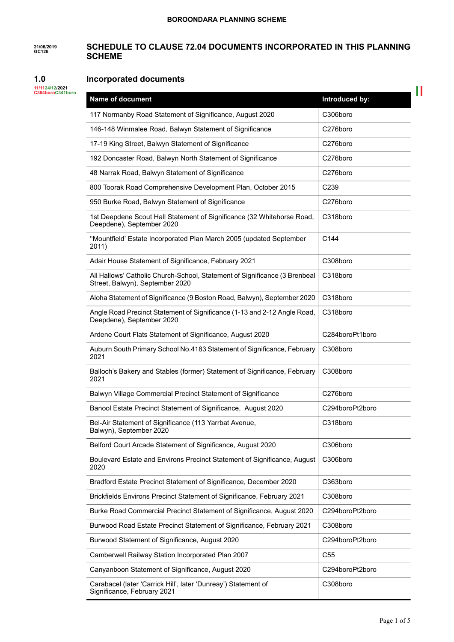#### **21/06/2019 GC126 SCHEDULE TO CLAUSE 72.04 DOCUMENTS INCORPORATED IN THIS PLANNING SCHEME**

#### **1.0 Incorporated documents**

**11/1124/12/2021 C364boroC341boro**

| Name of document                                                                                              | Introduced by:   |
|---------------------------------------------------------------------------------------------------------------|------------------|
| 117 Normanby Road Statement of Significance, August 2020                                                      | C306boro         |
| 146-148 Winmalee Road, Balwyn Statement of Significance                                                       | C276boro         |
| 17-19 King Street, Balwyn Statement of Significance                                                           | C276boro         |
| 192 Doncaster Road, Balwyn North Statement of Significance                                                    | C276boro         |
| 48 Narrak Road, Balwyn Statement of Significance                                                              | C276boro         |
| 800 Toorak Road Comprehensive Development Plan, October 2015                                                  | C <sub>239</sub> |
| 950 Burke Road, Balwyn Statement of Significance                                                              | C276boro         |
| 1st Deepdene Scout Hall Statement of Significance (32 Whitehorse Road,<br>Deepdene), September 2020           | C318boro         |
| "Mountfield' Estate Incorporated Plan March 2005 (updated September<br>2011)                                  | C144             |
| Adair House Statement of Significance, February 2021                                                          | C308boro         |
| All Hallows' Catholic Church-School, Statement of Significance (3 Brenbeal<br>Street, Balwyn), September 2020 | C318boro         |
| Aloha Statement of Significance (9 Boston Road, Balwyn), September 2020                                       | C318boro         |
| Angle Road Precinct Statement of Significance (1-13 and 2-12 Angle Road,<br>Deepdene), September 2020         | C318boro         |
| Ardene Court Flats Statement of Significance, August 2020                                                     | C284boroPt1boro  |
| Auburn South Primary School No.4183 Statement of Significance, February<br>2021                               | C308boro         |
| Balloch's Bakery and Stables (former) Statement of Significance, February<br>2021                             | C308boro         |
| Balwyn Village Commercial Precinct Statement of Significance                                                  | C276boro         |
| Banool Estate Precinct Statement of Significance, August 2020                                                 | C294boroPt2boro  |
| Bel-Air Statement of Significance (113 Yarrbat Avenue,<br>Balwyn), September 2020                             | C318boro         |
| Belford Court Arcade Statement of Significance, August 2020                                                   | C306boro         |
| Boulevard Estate and Environs Precinct Statement of Significance, August<br>2020                              | C306boro         |
| Bradford Estate Precinct Statement of Significance, December 2020                                             | C363boro         |
| Brickfields Environs Precinct Statement of Significance, February 2021                                        | C308boro         |
| Burke Road Commercial Precinct Statement of Significance, August 2020                                         | C294boroPt2boro  |
| Burwood Road Estate Precinct Statement of Significance, February 2021                                         | C308boro         |
| Burwood Statement of Significance, August 2020                                                                | C294boroPt2boro  |
| Camberwell Railway Station Incorporated Plan 2007                                                             | C <sub>55</sub>  |
| Canyanboon Statement of Significance, August 2020                                                             | C294boroPt2boro  |
| Carabacel (later 'Carrick Hill', later 'Dunreay') Statement of<br>Significance, February 2021                 | C308boro         |

 $\mathbb{R}^{\mathbb{N}}$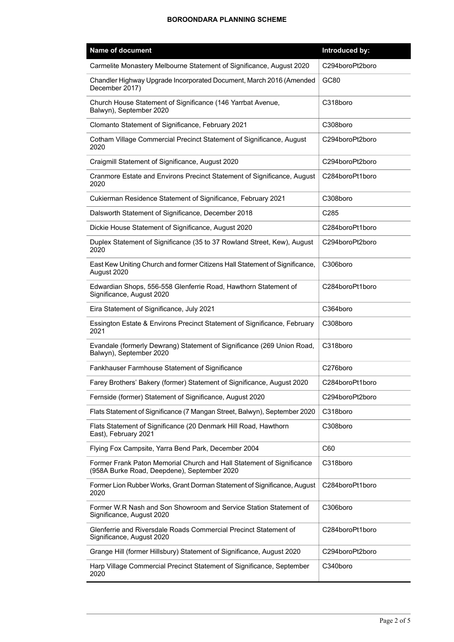| <b>Name of document</b>                                                                                              | Introduced by:  |
|----------------------------------------------------------------------------------------------------------------------|-----------------|
| Carmelite Monastery Melbourne Statement of Significance, August 2020                                                 | C294boroPt2boro |
| Chandler Highway Upgrade Incorporated Document, March 2016 (Amended<br>December 2017)                                | GC80            |
| Church House Statement of Significance (146 Yarrbat Avenue,<br>Balwyn), September 2020                               | C318boro        |
| Clomanto Statement of Significance, February 2021                                                                    | C308boro        |
| Cotham Village Commercial Precinct Statement of Significance, August<br>2020                                         | C294boroPt2boro |
| Craigmill Statement of Significance, August 2020                                                                     | C294boroPt2boro |
| Cranmore Estate and Environs Precinct Statement of Significance, August<br>2020                                      | C284boroPt1boro |
| Cukierman Residence Statement of Significance, February 2021                                                         | C308boro        |
| Dalsworth Statement of Significance, December 2018                                                                   | C285            |
| Dickie House Statement of Significance, August 2020                                                                  | C284boroPt1boro |
| Duplex Statement of Significance (35 to 37 Rowland Street, Kew), August<br>2020                                      | C294boroPt2boro |
| East Kew Uniting Church and former Citizens Hall Statement of Significance,<br>August 2020                           | C306boro        |
| Edwardian Shops, 556-558 Glenferrie Road, Hawthorn Statement of<br>Significance, August 2020                         | C284boroPt1boro |
| Eira Statement of Significance, July 2021                                                                            | C364boro        |
| Essington Estate & Environs Precinct Statement of Significance, February<br>2021                                     | C308boro        |
| Evandale (formerly Dewrang) Statement of Significance (269 Union Road,<br>Balwyn), September 2020                    | C318boro        |
| Fankhauser Farmhouse Statement of Significance                                                                       | C276boro        |
| Farey Brothers' Bakery (former) Statement of Significance, August 2020                                               | C284boroPt1boro |
| Fernside (former) Statement of Significance, August 2020                                                             | C294boroPt2boro |
| Flats Statement of Significance (7 Mangan Street, Balwyn), September 2020                                            | C318boro        |
| Flats Statement of Significance (20 Denmark Hill Road, Hawthorn<br>East), February 2021                              | C308boro        |
| Flying Fox Campsite, Yarra Bend Park, December 2004                                                                  | C60             |
| Former Frank Paton Memorial Church and Hall Statement of Significance<br>(958A Burke Road, Deepdene), September 2020 | C318boro        |
| Former Lion Rubber Works, Grant Dorman Statement of Significance, August<br>2020                                     | C284boroPt1boro |
| Former W.R Nash and Son Showroom and Service Station Statement of<br>Significance, August 2020                       | C306boro        |
| Glenferrie and Riversdale Roads Commercial Precinct Statement of<br>Significance, August 2020                        | C284boroPt1boro |
| Grange Hill (former Hillsbury) Statement of Significance, August 2020                                                | C294boroPt2boro |
| Harp Village Commercial Precinct Statement of Significance, September<br>2020                                        | C340boro        |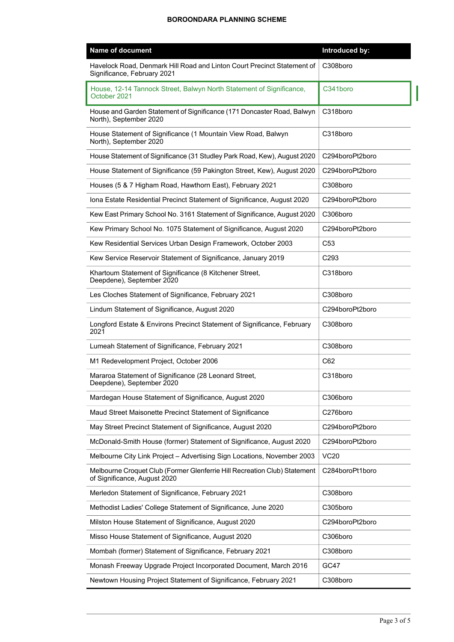| <b>Name of document</b>                                                                                   | Introduced by:  |
|-----------------------------------------------------------------------------------------------------------|-----------------|
| Havelock Road, Denmark Hill Road and Linton Court Precinct Statement of<br>Significance, February 2021    | C308boro        |
| House, 12-14 Tannock Street, Balwyn North Statement of Significance,<br>October 2021                      | C341boro        |
| House and Garden Statement of Significance (171 Doncaster Road, Balwyn<br>North), September 2020          | C318boro        |
| House Statement of Significance (1 Mountain View Road, Balwyn<br>North), September 2020                   | C318boro        |
| House Statement of Significance (31 Studley Park Road, Kew), August 2020                                  | C294boroPt2boro |
| House Statement of Significance (59 Pakington Street, Kew), August 2020                                   | C294boroPt2boro |
| Houses (5 & 7 Higham Road, Hawthorn East), February 2021                                                  | C308boro        |
| Iona Estate Residential Precinct Statement of Significance, August 2020                                   | C294boroPt2boro |
| Kew East Primary School No. 3161 Statement of Significance, August 2020                                   | C306boro        |
| Kew Primary School No. 1075 Statement of Significance, August 2020                                        | C294boroPt2boro |
| Kew Residential Services Urban Design Framework, October 2003                                             | C <sub>53</sub> |
| Kew Service Reservoir Statement of Significance, January 2019                                             | C293            |
| Khartoum Statement of Significance (8 Kitchener Street,<br>Deepdene), September 2020                      | C318boro        |
| Les Cloches Statement of Significance, February 2021                                                      | C308boro        |
| Lindum Statement of Significance, August 2020                                                             | C294boroPt2boro |
| Longford Estate & Environs Precinct Statement of Significance, February<br>2021                           | C308boro        |
| Lumeah Statement of Significance, February 2021                                                           | C308boro        |
| M1 Redevelopment Project, October 2006                                                                    | C62             |
| Mararoa Statement of Significance (28 Leonard Street,<br>Deepdene), September 2020                        | C318boro        |
| Mardegan House Statement of Significance, August 2020                                                     | C306boro        |
| Maud Street Maisonette Precinct Statement of Significance                                                 | C276boro        |
| May Street Precinct Statement of Significance, August 2020                                                | C294boroPt2boro |
| McDonald-Smith House (former) Statement of Significance, August 2020                                      | C294boroPt2boro |
| Melbourne City Link Project - Advertising Sign Locations, November 2003                                   | <b>VC20</b>     |
| Melbourne Croquet Club (Former Glenferrie Hill Recreation Club) Statement<br>of Significance, August 2020 | C284boroPt1boro |
| Merledon Statement of Significance, February 2021                                                         | C308boro        |
| Methodist Ladies' College Statement of Significance, June 2020                                            | C305boro        |
| Milston House Statement of Significance, August 2020                                                      | C294boroPt2boro |
| Misso House Statement of Significance, August 2020                                                        | C306boro        |
| Mombah (former) Statement of Significance, February 2021                                                  | C308boro        |
| Monash Freeway Upgrade Project Incorporated Document, March 2016                                          | GC47            |
| Newtown Housing Project Statement of Significance, February 2021                                          | C308boro        |

 $\overline{1}$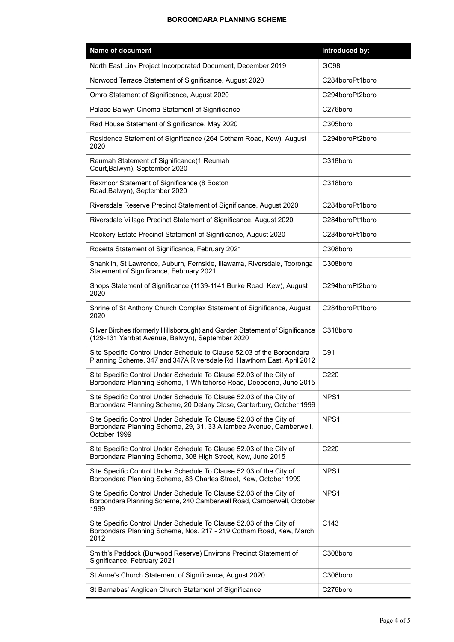| Name of document                                                                                                                                           | Introduced by:   |
|------------------------------------------------------------------------------------------------------------------------------------------------------------|------------------|
| North East Link Project Incorporated Document, December 2019                                                                                               | GC98             |
| Norwood Terrace Statement of Significance, August 2020                                                                                                     | C284boroPt1boro  |
| Omro Statement of Significance, August 2020                                                                                                                | C294boroPt2boro  |
| Palace Balwyn Cinema Statement of Significance                                                                                                             | C276boro         |
| Red House Statement of Significance, May 2020                                                                                                              | C305boro         |
| Residence Statement of Significance (264 Cotham Road, Kew), August<br>2020                                                                                 | C294boroPt2boro  |
| Reumah Statement of Significance (1 Reumah<br>Court, Balwyn), September 2020                                                                               | C318boro         |
| Rexmoor Statement of Significance (8 Boston<br>Road, Balwyn), September 2020                                                                               | C318boro         |
| Riversdale Reserve Precinct Statement of Significance, August 2020                                                                                         | C284boroPt1boro  |
| Riversdale Village Precinct Statement of Significance, August 2020                                                                                         | C284boroPt1boro  |
| Rookery Estate Precinct Statement of Significance, August 2020                                                                                             | C284boroPt1boro  |
| Rosetta Statement of Significance, February 2021                                                                                                           | C308boro         |
| Shanklin, St Lawrence, Auburn, Fernside, Illawarra, Riversdale, Tooronga<br>Statement of Significance, February 2021                                       | C308boro         |
| Shops Statement of Significance (1139-1141 Burke Road, Kew), August<br>2020                                                                                | C294boroPt2boro  |
| Shrine of St Anthony Church Complex Statement of Significance, August<br>2020                                                                              | C284boroPt1boro  |
| Silver Birches (formerly Hillsborough) and Garden Statement of Significance<br>(129-131 Yarrbat Avenue, Balwyn), September 2020                            | C318boro         |
| Site Specific Control Under Schedule to Clause 52.03 of the Boroondara<br>Planning Scheme, 347 and 347A Riversdale Rd, Hawthorn East, April 2012           | C91              |
| Site Specific Control Under Schedule To Clause 52.03 of the City of<br>Boroondara Planning Scheme, 1 Whitehorse Road, Deepdene, June 2015                  | C220             |
| Site Specific Control Under Schedule To Clause 52.03 of the City of<br>Boroondara Planning Scheme, 20 Delany Close, Canterbury, October 1999               | NPS <sub>1</sub> |
| Site Specific Control Under Schedule To Clause 52.03 of the City of<br>Boroondara Planning Scheme, 29, 31, 33 Allambee Avenue, Camberwell,<br>October 1999 | NPS <sub>1</sub> |
| Site Specific Control Under Schedule To Clause 52.03 of the City of<br>Boroondara Planning Scheme, 308 High Street, Kew, June 2015                         | C <sub>220</sub> |
| Site Specific Control Under Schedule To Clause 52.03 of the City of<br>Boroondara Planning Scheme, 83 Charles Street, Kew, October 1999                    | NPS <sub>1</sub> |
| Site Specific Control Under Schedule To Clause 52.03 of the City of<br>Boroondara Planning Scheme, 240 Camberwell Road, Camberwell, October<br>1999        | NPS <sub>1</sub> |
| Site Specific Control Under Schedule To Clause 52.03 of the City of<br>Boroondara Planning Scheme, Nos. 217 - 219 Cotham Road, Kew, March<br>2012          | C143             |
| Smith's Paddock (Burwood Reserve) Environs Precinct Statement of<br>Significance, February 2021                                                            | C308boro         |
| St Anne's Church Statement of Significance, August 2020                                                                                                    | C306boro         |
| St Barnabas' Anglican Church Statement of Significance                                                                                                     | C276boro         |